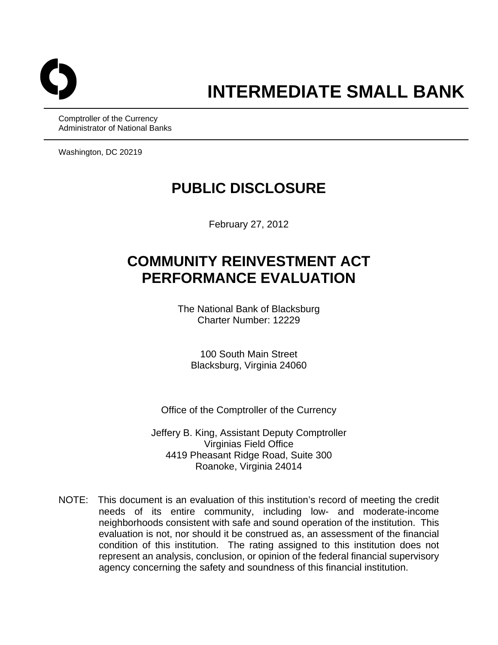

Comptroller of the Currency Administrator of National Banks

Washington, DC 20219

# **PUBLIC DISCLOSURE**

February 27, 2012

# **COMMUNITY REINVESTMENT ACT PERFORMANCE EVALUATION**

The National Bank of Blacksburg Charter Number: 12229

100 South Main Street Blacksburg, Virginia 24060

Office of the Comptroller of the Currency

Jeffery B. King, Assistant Deputy Comptroller Virginias Field Office 4419 Pheasant Ridge Road, Suite 300 Roanoke, Virginia 24014

NOTE: This document is an evaluation of this institution's record of meeting the credit needs of its entire community, including low- and moderate-income neighborhoods consistent with safe and sound operation of the institution. This evaluation is not, nor should it be construed as, an assessment of the financial condition of this institution. The rating assigned to this institution does not represent an analysis, conclusion, or opinion of the federal financial supervisory agency concerning the safety and soundness of this financial institution.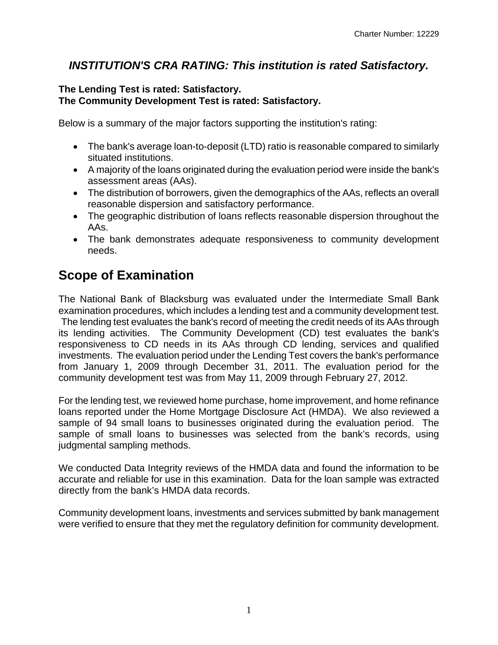### *INSTITUTION'S CRA RATING: This institution is rated Satisfactory.*

### **The Lending Test is rated: Satisfactory. The Community Development Test is rated: Satisfactory.**

Below is a summary of the major factors supporting the institution's rating:

- The bank's average loan-to-deposit (LTD) ratio is reasonable compared to similarly situated institutions.
- A majority of the loans originated during the evaluation period were inside the bank's assessment areas (AAs).
- The distribution of borrowers, given the demographics of the AAs, reflects an overall reasonable dispersion and satisfactory performance.
- The geographic distribution of loans reflects reasonable dispersion throughout the AAs.
- The bank demonstrates adequate responsiveness to community development needs.

## **Scope of Examination**

The National Bank of Blacksburg was evaluated under the Intermediate Small Bank examination procedures, which includes a lending test and a community development test. The lending test evaluates the bank's record of meeting the credit needs of its AAs through its lending activities. The Community Development (CD) test evaluates the bank's responsiveness to CD needs in its AAs through CD lending, services and qualified investments. The evaluation period under the Lending Test covers the bank's performance from January 1, 2009 through December 31, 2011. The evaluation period for the community development test was from May 11, 2009 through February 27, 2012.

For the lending test, we reviewed home purchase, home improvement, and home refinance loans reported under the Home Mortgage Disclosure Act (HMDA). We also reviewed a sample of 94 small loans to businesses originated during the evaluation period. The sample of small loans to businesses was selected from the bank's records, using judgmental sampling methods.

We conducted Data Integrity reviews of the HMDA data and found the information to be accurate and reliable for use in this examination. Data for the loan sample was extracted directly from the bank's HMDA data records.

Community development loans, investments and services submitted by bank management were verified to ensure that they met the regulatory definition for community development.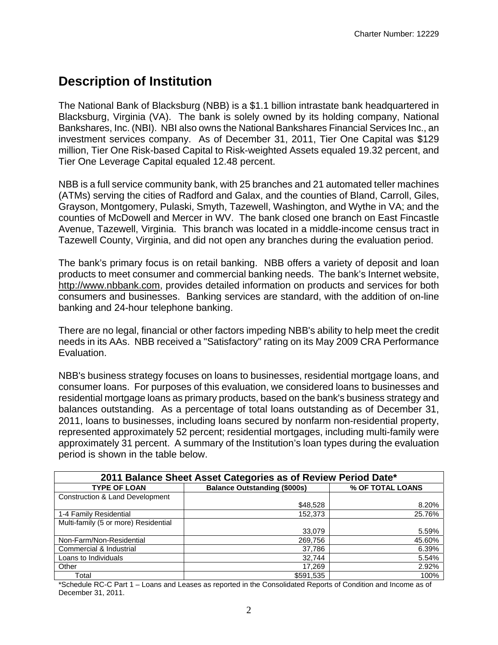## **Description of Institution**

The National Bank of Blacksburg (NBB) is a \$1.1 billion intrastate bank headquartered in Blacksburg, Virginia (VA). The bank is solely owned by its holding company, National Bankshares, Inc. (NBI). NBI also owns the National Bankshares Financial Services Inc., an investment services company. As of December 31, 2011, Tier One Capital was \$129 million, Tier One Risk-based Capital to Risk-weighted Assets equaled 19.32 percent, and Tier One Leverage Capital equaled 12.48 percent.

NBB is a full service community bank, with 25 branches and 21 automated teller machines (ATMs) serving the cities of Radford and Galax, and the counties of Bland, Carroll, Giles, Grayson, Montgomery, Pulaski, Smyth, Tazewell, Washington, and Wythe in VA; and the counties of McDowell and Mercer in WV. The bank closed one branch on East Fincastle Avenue, Tazewell, Virginia. This branch was located in a middle-income census tract in Tazewell County, Virginia, and did not open any branches during the evaluation period.

The bank's primary focus is on retail banking. NBB offers a variety of deposit and loan products to meet consumer and commercial banking needs. The bank's Internet website, http://www.nbbank.com, provides detailed information on products and services for both consumers and businesses. Banking services are standard, with the addition of on-line banking and 24-hour telephone banking.

There are no legal, financial or other factors impeding NBB's ability to help meet the credit needs in its AAs. NBB received a "Satisfactory" rating on its May 2009 CRA Performance Evaluation.

NBB's business strategy focuses on loans to businesses, residential mortgage loans, and consumer loans. For purposes of this evaluation, we considered loans to businesses and residential mortgage loans as primary products, based on the bank's business strategy and balances outstanding. As a percentage of total loans outstanding as of December 31, 2011, loans to businesses, including loans secured by nonfarm non-residential property, represented approximately 52 percent; residential mortgages, including multi-family were approximately 31 percent. A summary of the Institution's loan types during the evaluation period is shown in the table below.

| 2011 Balance Sheet Asset Categories as of Review Period Date* |                                                         |        |  |  |  |  |  |  |  |  |
|---------------------------------------------------------------|---------------------------------------------------------|--------|--|--|--|--|--|--|--|--|
| <b>TYPE OF LOAN</b>                                           | <b>Balance Outstanding (\$000s)</b><br>% OF TOTAL LOANS |        |  |  |  |  |  |  |  |  |
| Construction & Land Development                               |                                                         |        |  |  |  |  |  |  |  |  |
|                                                               | \$48,528                                                | 8.20%  |  |  |  |  |  |  |  |  |
| 1-4 Family Residential                                        | 152,373                                                 | 25.76% |  |  |  |  |  |  |  |  |
| Multi-family (5 or more) Residential                          |                                                         |        |  |  |  |  |  |  |  |  |
|                                                               | 33,079                                                  | 5.59%  |  |  |  |  |  |  |  |  |
| Non-Farm/Non-Residential                                      | 269,756                                                 | 45.60% |  |  |  |  |  |  |  |  |
| Commercial & Industrial                                       | 37,786                                                  | 6.39%  |  |  |  |  |  |  |  |  |
| Loans to Individuals                                          | 32,744                                                  | 5.54%  |  |  |  |  |  |  |  |  |
| Other                                                         | 17.269                                                  | 2.92%  |  |  |  |  |  |  |  |  |
| Total                                                         | \$591,535                                               | 100%   |  |  |  |  |  |  |  |  |

\*Schedule RC-C Part 1 – Loans and Leases as reported in the Consolidated Reports of Condition and Income as of December 31, 2011.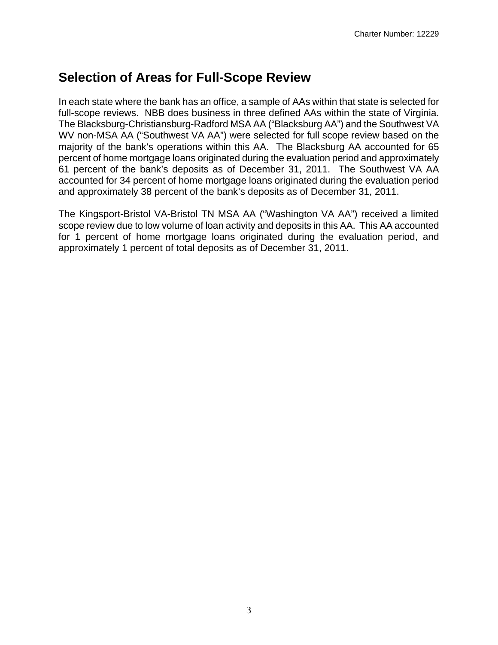## **Selection of Areas for Full-Scope Review**

In each state where the bank has an office, a sample of AAs within that state is selected for full-scope reviews. NBB does business in three defined AAs within the state of Virginia. The Blacksburg-Christiansburg-Radford MSA AA ("Blacksburg AA") and the Southwest VA WV non-MSA AA ("Southwest VA AA") were selected for full scope review based on the majority of the bank's operations within this AA. The Blacksburg AA accounted for 65 percent of home mortgage loans originated during the evaluation period and approximately 61 percent of the bank's deposits as of December 31, 2011. The Southwest VA AA accounted for 34 percent of home mortgage loans originated during the evaluation period and approximately 38 percent of the bank's deposits as of December 31, 2011.

The Kingsport-Bristol VA-Bristol TN MSA AA ("Washington VA AA") received a limited scope review due to low volume of loan activity and deposits in this AA. This AA accounted for 1 percent of home mortgage loans originated during the evaluation period, and approximately 1 percent of total deposits as of December 31, 2011.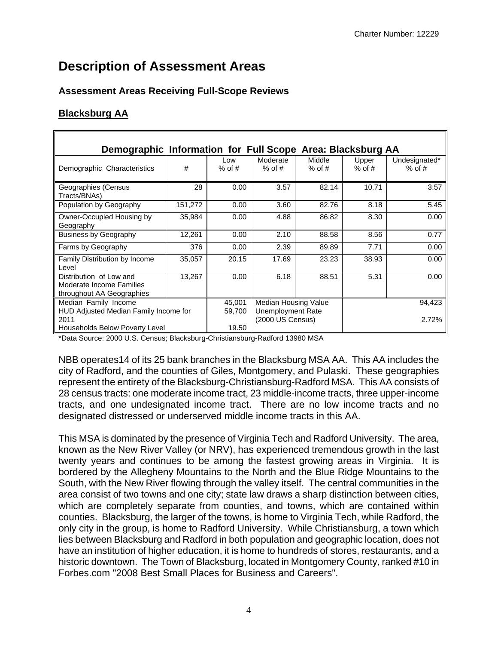## **Description of Assessment Areas**

### **Assessment Areas Receiving Full-Scope Reviews**

### **Blacksburg AA**

| Demographic Information for Full Scope Area: Blacksburg AA |         |                          |                  |               |                   |               |
|------------------------------------------------------------|---------|--------------------------|------------------|---------------|-------------------|---------------|
|                                                            | #       | Low                      | Moderate         | <b>Middle</b> | Upper<br>$%$ of # | Undesignated* |
| Demographic Characteristics                                |         | $%$ of #                 | $%$ of #         | $%$ of #      |                   | $%$ of #      |
| Geographies (Census<br>Tracts/BNAs)                        | 28      | 0.00                     | 3.57             | 82.14         | 10.71             | 3.57          |
| Population by Geography                                    | 151,272 | 0.00                     | 3.60             | 82.76         | 8.18              | 5.45          |
| Owner-Occupied Housing by<br>Geography                     | 35,984  | 0.00                     | 4.88             | 86.82         | 8.30              | 0.00          |
| <b>Business by Geography</b>                               | 12,261  | 0.00                     | 2.10             | 88.58         | 8.56              | 0.77          |
| Farms by Geography                                         | 376     | 0.00                     | 2.39             | 89.89         | 7.71              | 0.00          |
| <b>Family Distribution by Income</b><br>Level              | 35,057  | 20.15                    | 17.69            | 23.23         | 38.93             | 0.00          |
| Distribution of Low and                                    | 13,267  | 0.00                     | 6.18             | 88.51         | 5.31              | 0.00          |
| Moderate Income Families<br>throughout AA Geographies      |         |                          |                  |               |                   |               |
| Median Family Income                                       | 45,001  | Median Housing Value     |                  |               | 94,423            |               |
| HUD Adjusted Median Family Income for                      | 59,700  | <b>Unemployment Rate</b> |                  |               |                   |               |
| 2011                                                       |         |                          | (2000 US Census) |               |                   | 2.72%         |
| Households Below Poverty Level                             |         | 19.50                    |                  |               |                   |               |

\*Data Source: 2000 U.S. Census; Blacksburg-Christiansburg-Radford 13980 MSA

NBB operates14 of its 25 bank branches in the Blacksburg MSA AA. This AA includes the city of Radford, and the counties of Giles, Montgomery, and Pulaski. These geographies represent the entirety of the Blacksburg-Christiansburg-Radford MSA. This AA consists of 28 census tracts: one moderate income tract, 23 middle-income tracts, three upper-income tracts, and one undesignated income tract. There are no low income tracts and no designated distressed or underserved middle income tracts in this AA.

This MSA is dominated by the presence of Virginia Tech and Radford University. The area, known as the New River Valley (or NRV), has experienced tremendous growth in the last twenty years and continues to be among the fastest growing areas in Virginia. It is bordered by the Allegheny Mountains to the North and the Blue Ridge Mountains to the South, with the New River flowing through the valley itself. The central communities in the area consist of two towns and one city; state law draws a sharp distinction between cities, which are completely separate from counties, and towns, which are contained within counties. Blacksburg, the larger of the towns, is home to Virginia Tech, while Radford, the only city in the group, is home to Radford University. While Christiansburg, a town which lies between Blacksburg and Radford in both population and geographic location, does not have an institution of higher education, it is home to hundreds of stores, restaurants, and a historic downtown. The Town of Blacksburg, located in Montgomery County, ranked #10 in Forbes.com "2008 Best Small Places for Business and Careers".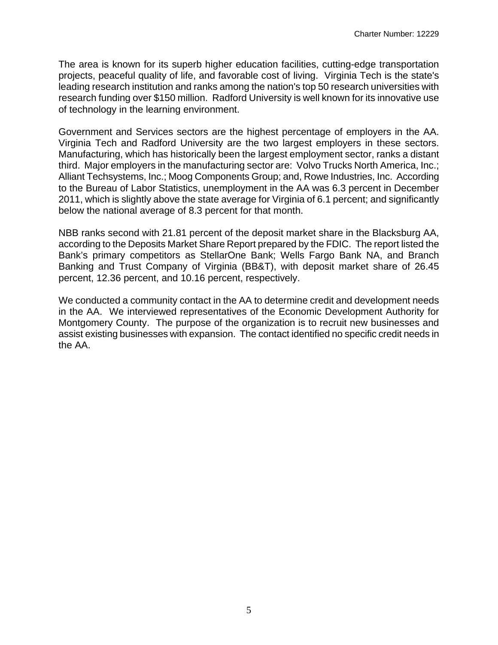The area is known for its superb higher education facilities, cutting-edge transportation projects, peaceful quality of life, and favorable cost of living. Virginia Tech is the state's leading research institution and ranks among the nation's top 50 research universities with research funding over \$150 million. Radford University is well known for its innovative use of technology in the learning environment.

Government and Services sectors are the highest percentage of employers in the AA. Virginia Tech and Radford University are the two largest employers in these sectors. Manufacturing, which has historically been the largest employment sector, ranks a distant third. Major employers in the manufacturing sector are: Volvo Trucks North America, Inc.; Alliant Techsystems, Inc.; Moog Components Group; and, Rowe Industries, Inc. According to the Bureau of Labor Statistics, unemployment in the AA was 6.3 percent in December 2011, which is slightly above the state average for Virginia of 6.1 percent; and significantly below the national average of 8.3 percent for that month.

NBB ranks second with 21.81 percent of the deposit market share in the Blacksburg AA, according to the Deposits Market Share Report prepared by the FDIC. The report listed the Bank's primary competitors as StellarOne Bank; Wells Fargo Bank NA, and Branch Banking and Trust Company of Virginia (BB&T), with deposit market share of 26.45 percent, 12.36 percent, and 10.16 percent, respectively.

We conducted a community contact in the AA to determine credit and development needs in the AA. We interviewed representatives of the Economic Development Authority for Montgomery County. The purpose of the organization is to recruit new businesses and assist existing businesses with expansion. The contact identified no specific credit needs in the AA.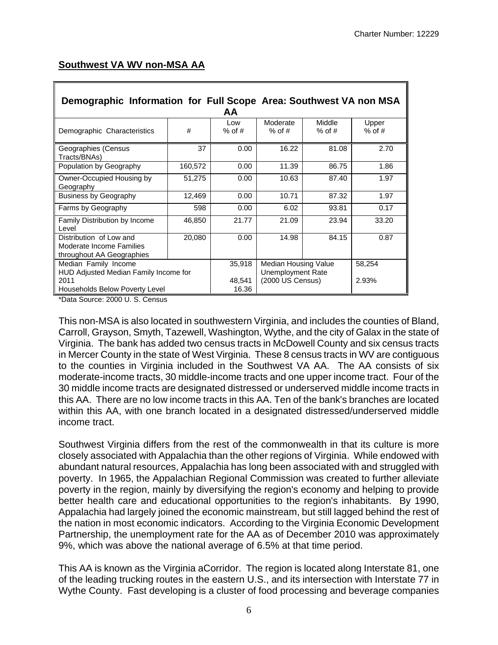|  | Southwest VA WV non-MSA AA |
|--|----------------------------|
|  |                            |

| Demographic Information for Full Scope Area: Southwest VA non MSA<br>AA          |         |                 |                                       |                    |                   |  |  |  |
|----------------------------------------------------------------------------------|---------|-----------------|---------------------------------------|--------------------|-------------------|--|--|--|
| Demographic Characteristics                                                      | #       | Low<br>$%$ of # | Moderate<br>$%$ of #                  | Middle<br>$%$ of # | Upper<br>$%$ of # |  |  |  |
| Geographies (Census<br>Tracts/BNAs)                                              | 37      | 0.00            | 16.22                                 | 81.08              | 2.70              |  |  |  |
| Population by Geography                                                          | 160,572 | 0.00            | 11.39                                 | 86.75              | 1.86              |  |  |  |
| Owner-Occupied Housing by<br>Geography                                           | 51,275  | 0.00            | 10.63                                 | 87.40              | 1.97              |  |  |  |
| <b>Business by Geography</b>                                                     | 12,469  | 0.00            | 10.71                                 | 87.32              | 1.97              |  |  |  |
| Farms by Geography                                                               | 598     | 0.00            | 6.02                                  | 93.81              | 0.17              |  |  |  |
| <b>Family Distribution by Income</b><br>Level                                    | 46,850  | 21.77           | 21.09                                 | 23.94              | 33.20             |  |  |  |
| Distribution of Low and<br>Moderate Income Families<br>throughout AA Geographies | 20,080  | 0.00            | 14.98                                 | 84.15              | 0.87              |  |  |  |
| Median Family Income                                                             |         | 35,918          | Median Housing Value                  |                    | 58,254            |  |  |  |
| HUD Adjusted Median Family Income for<br>2011<br>Households Below Poverty Level  |         | 48,541<br>16.36 | Unemployment Rate<br>(2000 US Census) | 2.93%              |                   |  |  |  |

\*Data Source: 2000 U. S. Census

This non-MSA is also located in southwestern Virginia, and includes the counties of Bland, Carroll, Grayson, Smyth, Tazewell, Washington, Wythe, and the city of Galax in the state of Virginia. The bank has added two census tracts in McDowell County and six census tracts in Mercer County in the state of West Virginia. These 8 census tracts in WV are contiguous to the counties in Virginia included in the Southwest VA AA. The AA consists of six moderate-income tracts, 30 middle-income tracts and one upper income tract. Four of the 30 middle income tracts are designated distressed or underserved middle income tracts in this AA. There are no low income tracts in this AA. Ten of the bank's branches are located within this AA, with one branch located in a designated distressed/underserved middle income tract.

Southwest Virginia differs from the rest of the commonwealth in that its culture is more closely associated with Appalachia than the other regions of Virginia. While endowed with abundant natural resources, Appalachia has long been associated with and struggled with poverty. In 1965, the Appalachian Regional Commission was created to further alleviate poverty in the region, mainly by diversifying the region's economy and helping to provide better health care and educational opportunities to the region's inhabitants. By 1990, Appalachia had largely joined the economic mainstream, but still lagged behind the rest of the nation in most economic indicators. According to the Virginia Economic Development Partnership, the unemployment rate for the AA as of December 2010 was approximately 9%, which was above the national average of 6.5% at that time period.

This AA is known as the Virginia aCorridor. The region is located along Interstate 81, one of the leading trucking routes in the eastern U.S., and its intersection with Interstate 77 in Wythe County. Fast developing is a cluster of food processing and beverage companies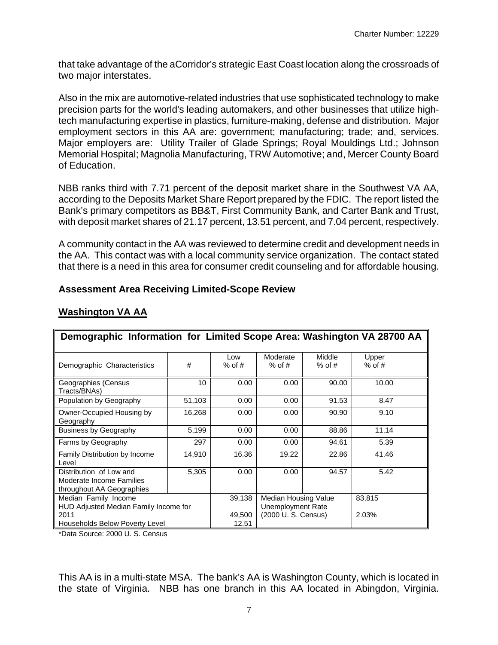that take advantage of the aCorridor's strategic East Coast location along the crossroads of two major interstates.

Also in the mix are automotive-related industries that use sophisticated technology to make precision parts for the world's leading automakers, and other businesses that utilize hightech manufacturing expertise in plastics, furniture-making, defense and distribution. Major employment sectors in this AA are: government; manufacturing; trade; and, services. Major employers are: Utility Trailer of Glade Springs; Royal Mouldings Ltd.; Johnson Memorial Hospital; Magnolia Manufacturing, TRW Automotive; and, Mercer County Board of Education.

NBB ranks third with 7.71 percent of the deposit market share in the Southwest VA AA, according to the Deposits Market Share Report prepared by the FDIC. The report listed the Bank's primary competitors as BB&T, First Community Bank, and Carter Bank and Trust, with deposit market shares of 21.17 percent, 13.51 percent, and 7.04 percent, respectively.

A community contact in the AA was reviewed to determine credit and development needs in the AA. This contact was with a local community service organization. The contact stated that there is a need in this area for consumer credit counseling and for affordable housing.

| Demographic Information for Limited Scope Area: Washington VA 28700 AA           |        |                          |                             |                    |                   |
|----------------------------------------------------------------------------------|--------|--------------------------|-----------------------------|--------------------|-------------------|
| Demographic Characteristics                                                      | #      | Low<br>$%$ of #          | Moderate<br>$%$ of #        | Middle<br>$%$ of # | Upper<br>$%$ of # |
| Geographies (Census<br>Tracts/BNAs)                                              | 10     | 0.00                     | 0.00                        | 90.00              | 10.00             |
| Population by Geography                                                          | 51,103 | 0.00                     | 0.00                        | 91.53              | 8.47              |
| Owner-Occupied Housing by<br>Geography                                           | 16,268 | 0.00                     | 0.00                        | 90.90              | 9.10              |
| <b>Business by Geography</b>                                                     | 5,199  | 0.00                     | 0.00                        | 88.86              | 11.14             |
| Farms by Geography                                                               | 297    | 0.00                     | 0.00                        | 94.61              | 5.39              |
| Family Distribution by Income<br>Level                                           | 14,910 | 16.36                    | 19.22                       | 22.86              | 41.46             |
| Distribution of Low and<br>Moderate Income Families<br>throughout AA Geographies | 5,305  | 0.00                     | 0.00                        | 94.57              | 5.42              |
| Median Family Income                                                             |        | 39,138                   | Median Housing Value        |                    | 83,815            |
| HUD Adjusted Median Family Income for                                            |        | <b>Unemployment Rate</b> |                             |                    |                   |
| 2011<br>Households Below Poverty Level                                           |        | 49,500<br>12.51          | (2000 U.S. Census)<br>2.03% |                    |                   |

### **Washington VA AA**

**Assessment Area Receiving Limited-Scope Review** 

\*Data Source: 2000 U. S. Census

This AA is in a multi-state MSA. The bank's AA is Washington County, which is located in the state of Virginia. NBB has one branch in this AA located in Abingdon, Virginia.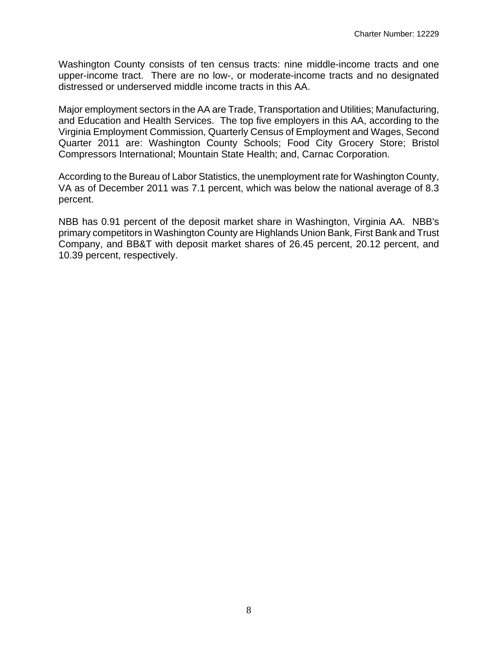Washington County consists of ten census tracts: nine middle-income tracts and one upper-income tract. There are no low-, or moderate-income tracts and no designated distressed or underserved middle income tracts in this AA.

Major employment sectors in the AA are Trade, Transportation and Utilities; Manufacturing, and Education and Health Services. The top five employers in this AA, according to the Virginia Employment Commission, Quarterly Census of Employment and Wages, Second Quarter 2011 are: Washington County Schools; Food City Grocery Store; Bristol Compressors International; Mountain State Health; and, Carnac Corporation.

According to the Bureau of Labor Statistics, the unemployment rate for Washington County, VA as of December 2011 was 7.1 percent, which was below the national average of 8.3 percent.

NBB has 0.91 percent of the deposit market share in Washington, Virginia AA. NBB's primary competitors in Washington County are Highlands Union Bank, First Bank and Trust Company, and BB&T with deposit market shares of 26.45 percent, 20.12 percent, and 10.39 percent, respectively.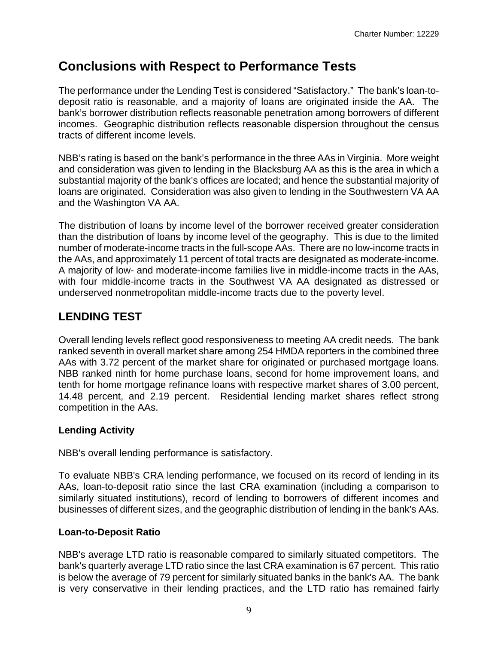## **Conclusions with Respect to Performance Tests**

The performance under the Lending Test is considered "Satisfactory." The bank's loan-todeposit ratio is reasonable, and a majority of loans are originated inside the AA. The bank's borrower distribution reflects reasonable penetration among borrowers of different incomes. Geographic distribution reflects reasonable dispersion throughout the census tracts of different income levels.

NBB's rating is based on the bank's performance in the three AAs in Virginia. More weight and consideration was given to lending in the Blacksburg AA as this is the area in which a substantial majority of the bank's offices are located; and hence the substantial majority of loans are originated. Consideration was also given to lending in the Southwestern VA AA and the Washington VA AA.

The distribution of loans by income level of the borrower received greater consideration than the distribution of loans by income level of the geography. This is due to the limited number of moderate-income tracts in the full-scope AAs. There are no low-income tracts in the AAs, and approximately 11 percent of total tracts are designated as moderate-income. A majority of low- and moderate-income families live in middle-income tracts in the AAs, with four middle-income tracts in the Southwest VA AA designated as distressed or underserved nonmetropolitan middle-income tracts due to the poverty level.

## **LENDING TEST**

Overall lending levels reflect good responsiveness to meeting AA credit needs. The bank ranked seventh in overall market share among 254 HMDA reporters in the combined three AAs with 3.72 percent of the market share for originated or purchased mortgage loans. NBB ranked ninth for home purchase loans, second for home improvement loans, and tenth for home mortgage refinance loans with respective market shares of 3.00 percent, 14.48 percent, and 2.19 percent. Residential lending market shares reflect strong competition in the AAs.

### **Lending Activity**

NBB's overall lending performance is satisfactory.

To evaluate NBB's CRA lending performance, we focused on its record of lending in its AAs, loan-to-deposit ratio since the last CRA examination (including a comparison to similarly situated institutions), record of lending to borrowers of different incomes and businesses of different sizes, and the geographic distribution of lending in the bank's AAs.

### **Loan-to-Deposit Ratio**

NBB's average LTD ratio is reasonable compared to similarly situated competitors. The bank's quarterly average LTD ratio since the last CRA examination is 67 percent. This ratio is below the average of 79 percent for similarly situated banks in the bank's AA. The bank is very conservative in their lending practices, and the LTD ratio has remained fairly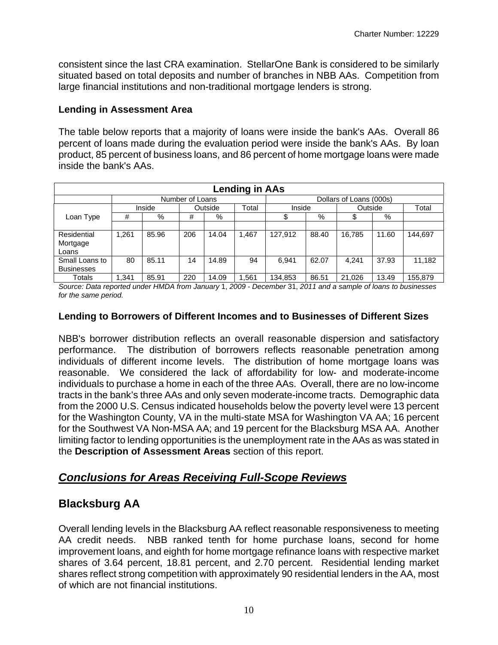consistent since the last CRA examination. StellarOne Bank is considered to be similarly situated based on total deposits and number of branches in NBB AAs. Competition from large financial institutions and non-traditional mortgage lenders is strong.

### **Lending in Assessment Area**

The table below reports that a majority of loans were inside the bank's AAs. Overall 86 percent of loans made during the evaluation period were inside the bank's AAs. By loan product, 85 percent of business loans, and 86 percent of home mortgage loans were made inside the bank's AAs.

| <b>Lending in AAs</b> |       |        |                 |         |       |         |       |                         |       |         |
|-----------------------|-------|--------|-----------------|---------|-------|---------|-------|-------------------------|-------|---------|
|                       |       |        | Number of Loans |         |       |         |       | Dollars of Loans (000s) |       |         |
|                       |       | Inside |                 | Outside | Total | Inside  |       | Outside                 |       | Total   |
| Loan Type             | #     | %      | #               | %       |       | จ       | %     |                         | %     |         |
|                       |       |        |                 |         |       |         |       |                         |       |         |
| Residential           | 1.261 | 85.96  | 206             | 14.04   | 1.467 | 127.912 | 88.40 | 16.785                  | 11.60 | 144,697 |
| Mortgage<br>Loans     |       |        |                 |         |       |         |       |                         |       |         |
| Small Loans to        | 80    | 85.11  | 14              | 14.89   | 94    | 6.941   | 62.07 |                         | 37.93 |         |
| <b>Businesses</b>     |       |        |                 |         |       |         |       | 4,241                   |       | 11,182  |
| Totals                | 1,341 | 85.91  | 220             | 14.09   | .561  | 134.853 | 86.51 | 21.026                  | 13.49 | 155,879 |

*Source: Data reported under HMDA from January* 1, *2009* - *December* 31, *2011 and a sample of loans to businesses for the same period.* 

### **Lending to Borrowers of Different Incomes and to Businesses of Different Sizes**

NBB's borrower distribution reflects an overall reasonable dispersion and satisfactory performance. The distribution of borrowers reflects reasonable penetration among individuals of different income levels. The distribution of home mortgage loans was reasonable. We considered the lack of affordability for low- and moderate-income individuals to purchase a home in each of the three AAs. Overall, there are no low-income tracts in the bank's three AAs and only seven moderate-income tracts. Demographic data from the 2000 U.S. Census indicated households below the poverty level were 13 percent for the Washington County, VA in the multi-state MSA for Washington VA AA; 16 percent for the Southwest VA Non-MSA AA; and 19 percent for the Blacksburg MSA AA. Another limiting factor to lending opportunities is the unemployment rate in the AAs as was stated in the **Description of Assessment Areas** section of this report.

### *Conclusions for Areas Receiving Full-Scope Reviews*

### **Blacksburg AA**

Overall lending levels in the Blacksburg AA reflect reasonable responsiveness to meeting AA credit needs. NBB ranked tenth for home purchase loans, second for home improvement loans, and eighth for home mortgage refinance loans with respective market shares of 3.64 percent, 18.81 percent, and 2.70 percent. Residential lending market shares reflect strong competition with approximately 90 residential lenders in the AA, most of which are not financial institutions.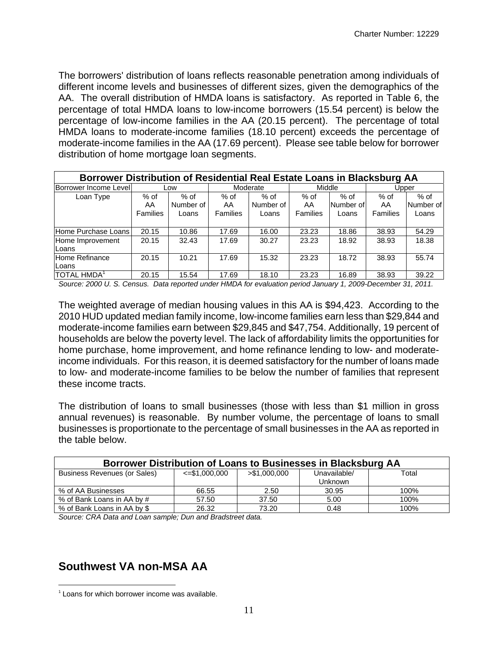The borrowers' distribution of loans reflects reasonable penetration among individuals of different income levels and businesses of different sizes, given the demographics of the AA. The overall distribution of HMDA loans is satisfactory. As reported in Table 6, the percentage of total HMDA loans to low-income borrowers (15.54 percent) is below the percentage of low-income families in the AA (20.15 percent). The percentage of total HMDA loans to moderate-income families (18.10 percent) exceeds the percentage of moderate-income families in the AA (17.69 percent). Please see table below for borrower distribution of home mortgage loan segments.

| Borrower Distribution of Residential Real Estate Loans in Blacksburg AA |                          |                            |                                  |                            |                                 |                              |                                 |                            |
|-------------------------------------------------------------------------|--------------------------|----------------------------|----------------------------------|----------------------------|---------------------------------|------------------------------|---------------------------------|----------------------------|
| Borrower Income Level                                                   |                          | Low                        | Moderate                         |                            | Middle                          |                              | Upper                           |                            |
| Loan Type                                                               | $%$ of<br>AA<br>Families | % of<br>Number of<br>Loans | $%$ of<br>AA.<br><b>Families</b> | % of<br>Number of<br>Loans | $%$ of<br>AA<br><b>Families</b> | $%$ of<br>Number of<br>Loans | $%$ of<br>AA<br><b>Families</b> | % of<br>Number of<br>Loans |
| Home Purchase Loans                                                     | 20.15                    | 10.86                      | 17.69                            | 16.00                      | 23.23                           | 18.86                        | 38.93                           | 54.29                      |
| Home Improvement<br>Loans                                               | 20.15                    | 32.43                      | 17.69                            | 30.27                      | 23.23                           | 18.92                        | 38.93                           | 18.38                      |
| Home Refinance<br>Loans                                                 | 20.15                    | 10.21                      | 17.69                            | 15.32                      | 23.23                           | 18.72                        | 38.93                           | 55.74                      |
| <b>TOTAL HMDA</b>                                                       | 20.15                    | 15.54                      | 17.69                            | 18.10                      | 23.23                           | 16.89                        | 38.93                           | 39.22                      |

*Source: 2000 U. S. Census. Data reported under HMDA for evaluation period January 1, 2009-December 31, 2011.* 

The weighted average of median housing values in this AA is \$94,423. According to the 2010 HUD updated median family income, low-income families earn less than \$29,844 and moderate-income families earn between \$29,845 and \$47,754. Additionally, 19 percent of households are below the poverty level. The lack of affordability limits the opportunities for home purchase, home improvement, and home refinance lending to low- and moderateincome individuals. For this reason, it is deemed satisfactory for the number of loans made to low- and moderate-income families to be below the number of families that represent these income tracts.

The distribution of loans to small businesses (those with less than \$1 million in gross annual revenues) is reasonable. By number volume, the percentage of loans to small businesses is proportionate to the percentage of small businesses in the AA as reported in the table below.

| Borrower Distribution of Loans to Businesses in Blacksburg AA |                    |               |                |       |  |  |  |  |  |
|---------------------------------------------------------------|--------------------|---------------|----------------|-------|--|--|--|--|--|
| Business Revenues (or Sales)                                  | $\leq$ \$1,000,000 | > \$1,000,000 | Unavailable/   | Total |  |  |  |  |  |
|                                                               |                    |               | <b>Unknown</b> |       |  |  |  |  |  |
| % of AA Businesses                                            | 66.55              | 2.50          | 30.95          | 100%  |  |  |  |  |  |
| % of Bank Loans in AA by #                                    | 57.50              | 37.50         | 5.00           | 100%  |  |  |  |  |  |
| % of Bank Loans in AA by \$                                   | 26.32              | 73.20         | 0.48           | 100%  |  |  |  |  |  |

*Source: CRA Data and Loan sample; Dun and Bradstreet data.* 

### **Southwest VA non-MSA AA**

 $\overline{a}$ 

 $1$  Loans for which borrower income was available.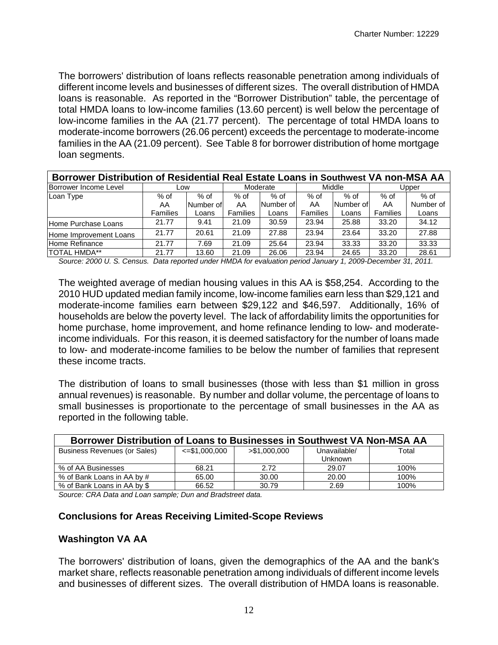The borrowers' distribution of loans reflects reasonable penetration among individuals of different income levels and businesses of different sizes. The overall distribution of HMDA loans is reasonable. As reported in the "Borrower Distribution" table, the percentage of total HMDA loans to low-income families (13.60 percent) is well below the percentage of low-income families in the AA (21.77 percent). The percentage of total HMDA loans to moderate-income borrowers (26.06 percent) exceeds the percentage to moderate-income families in the AA (21.09 percent). See Table 8 for borrower distribution of home mortgage loan segments.

| Borrower Distribution of Residential Real Estate Loans in Southwest VA non-MSA AA |                 |           |          |           |          |           |          |           |
|-----------------------------------------------------------------------------------|-----------------|-----------|----------|-----------|----------|-----------|----------|-----------|
| Borrower Income Level                                                             | Low             |           | Moderate |           | Middle   |           | Upper    |           |
| Loan Type                                                                         | % of            | $%$ of    | % of     | $%$ of    | $%$ of   | $%$ of    | % of     | $%$ of    |
|                                                                                   | AA              | Number of | AA       | Number of | AA       | Number of | AA       | Number of |
|                                                                                   | <b>Families</b> | Loans     | Families | Loans     | Families | Loans     | Families | Loans     |
| Home Purchase Loans                                                               | 21.77           | 9.41      | 21.09    | 30.59     | 23.94    | 25.88     | 33.20    | 34.12     |
| Home Improvement Loans                                                            | 21.77           | 20.61     | 21.09    | 27.88     | 23.94    | 23.64     | 33.20    | 27.88     |
| Home Refinance                                                                    | 21.77           | 7.69      | 21.09    | 25.64     | 23.94    | 33.33     | 33.20    | 33.33     |
| <b>TOTAL HMDA**</b>                                                               | 21.77           | 13.60     | 21.09    | 26.06     | 23.94    | 24.65     | 33.20    | 28.61     |

*Source: 2000 U. S. Census. Data reported under HMDA for evaluation period January 1, 2009-December 31, 2011.* 

The weighted average of median housing values in this AA is \$58,254. According to the 2010 HUD updated median family income, low-income families earn less than \$29,121 and moderate-income families earn between \$29,122 and \$46,597. Additionally, 16% of households are below the poverty level. The lack of affordability limits the opportunities for home purchase, home improvement, and home refinance lending to low- and moderateincome individuals. For this reason, it is deemed satisfactory for the number of loans made to low- and moderate-income families to be below the number of families that represent these income tracts.

The distribution of loans to small businesses (those with less than \$1 million in gross annual revenues) is reasonable. By number and dollar volume, the percentage of loans to small businesses is proportionate to the percentage of small businesses in the AA as reported in the following table.

| Borrower Distribution of Loans to Businesses in Southwest VA Non-MSA AA |                     |               |              |       |  |  |  |  |  |
|-------------------------------------------------------------------------|---------------------|---------------|--------------|-------|--|--|--|--|--|
| <b>Business Revenues (or Sales)</b>                                     | $\le$ = \$1,000,000 | > \$1,000,000 | Unavailable/ | Total |  |  |  |  |  |
|                                                                         |                     |               | Unknown      |       |  |  |  |  |  |
| % of AA Businesses                                                      | 68.21               | 2.72          | 29.07        | 100%  |  |  |  |  |  |
| % of Bank Loans in AA by #                                              | 65.00               | 30.00         | 20.00        | 100%  |  |  |  |  |  |
| % of Bank Loans in AA by \$                                             | 66.52               | 30.79         | 2.69         | 100%  |  |  |  |  |  |

*Source: CRA Data and Loan sample; Dun and Bradstreet data.* 

### **Conclusions for Areas Receiving Limited-Scope Reviews**

### **Washington VA AA**

The borrowers' distribution of loans, given the demographics of the AA and the bank's market share, reflects reasonable penetration among individuals of different income levels and businesses of different sizes. The overall distribution of HMDA loans is reasonable.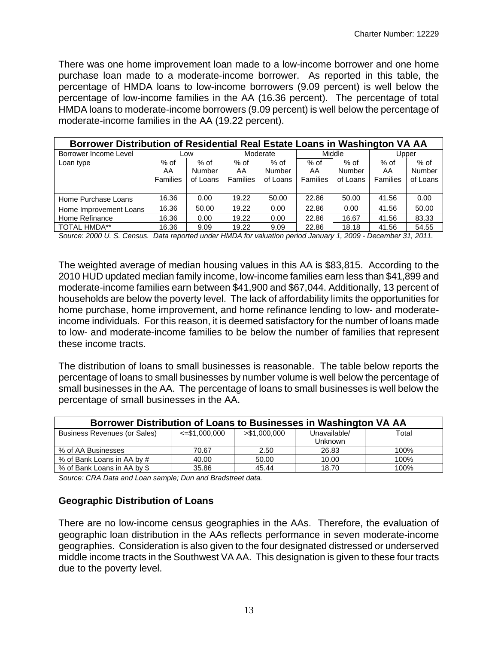There was one home improvement loan made to a low-income borrower and one home purchase loan made to a moderate-income borrower. As reported in this table, the percentage of HMDA loans to low-income borrowers (9.09 percent) is well below the percentage of low-income families in the AA (16.36 percent). The percentage of total HMDA loans to moderate-income borrowers (9.09 percent) is well below the percentage of moderate-income families in the AA (19.22 percent).

| Borrower Distribution of Residential Real Estate Loans in Washington VA AA |                 |          |                 |               |                 |               |                 |          |
|----------------------------------------------------------------------------|-----------------|----------|-----------------|---------------|-----------------|---------------|-----------------|----------|
| Borrower Income Level                                                      |                 | Low      |                 | Moderate      |                 | Middle        |                 | Upper    |
| Loan type                                                                  | $%$ of          | % of     | $%$ of          | $%$ of        | $%$ of          | % of          | $%$ of          | $%$ of   |
|                                                                            | AA              | Number   | AA              | <b>Number</b> | AA              | <b>Number</b> | AA              | Number   |
|                                                                            | <b>Families</b> | of Loans | <b>Families</b> | of Loans      | <b>Families</b> | of Loans      | <b>Families</b> | of Loans |
|                                                                            |                 |          |                 |               |                 |               |                 |          |
| Home Purchase Loans                                                        | 16.36           | 0.00     | 19.22           | 50.00         | 22.86           | 50.00         | 41.56           | 0.00     |
| Home Improvement Loans                                                     | 16.36           | 50.00    | 19.22           | 0.00          | 22.86           | 0.00          | 41.56           | 50.00    |
| Home Refinance                                                             | 16.36           | 0.00     | 19.22           | 0.00          | 22.86           | 16.67         | 41.56           | 83.33    |
| <b>TOTAL HMDA**</b>                                                        | 16.36           | 9.09     | 19.22           | 9.09          | 22.86           | 18.18         | 41.56           | 54.55    |

*Source: 2000 U. S. Census. Data reported under HMDA for valuation period January 1, 2009 - December 31, 2011.* 

The weighted average of median housing values in this AA is \$83,815. According to the 2010 HUD updated median family income, low-income families earn less than \$41,899 and moderate-income families earn between \$41,900 and \$67,044. Additionally, 13 percent of households are below the poverty level. The lack of affordability limits the opportunities for home purchase, home improvement, and home refinance lending to low- and moderateincome individuals. For this reason, it is deemed satisfactory for the number of loans made to low- and moderate-income families to be below the number of families that represent these income tracts.

The distribution of loans to small businesses is reasonable. The table below reports the percentage of loans to small businesses by number volume is well below the percentage of small businesses in the AA. The percentage of loans to small businesses is well below the percentage of small businesses in the AA.

| Borrower Distribution of Loans to Businesses in Washington VA AA |                     |               |                                |       |  |  |  |  |  |
|------------------------------------------------------------------|---------------------|---------------|--------------------------------|-------|--|--|--|--|--|
| <b>Business Revenues (or Sales)</b>                              | $\le$ = \$1,000,000 | > \$1,000,000 | Unavailable/<br><b>Unknown</b> | Total |  |  |  |  |  |
| % of AA Businesses                                               | 70.67               | 2.50          | 26.83                          | 100%  |  |  |  |  |  |
| % of Bank Loans in AA by #                                       | 40.00               | 50.00         | 10.00                          | 100%  |  |  |  |  |  |
| % of Bank Loans in AA by \$                                      | 35.86               | 45.44         | 18.70                          | 100%  |  |  |  |  |  |

*Source: CRA Data and Loan sample; Dun and Bradstreet data.* 

### **Geographic Distribution of Loans**

There are no low-income census geographies in the AAs. Therefore, the evaluation of geographic loan distribution in the AAs reflects performance in seven moderate-income geographies. Consideration is also given to the four designated distressed or underserved middle income tracts in the Southwest VA AA. This designation is given to these four tracts due to the poverty level.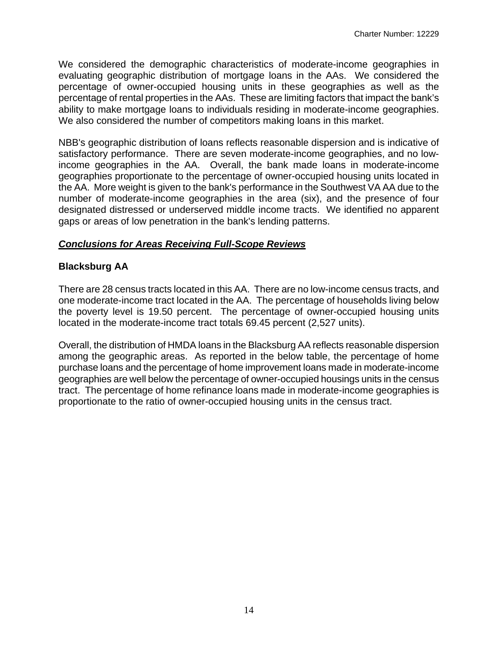We considered the demographic characteristics of moderate-income geographies in evaluating geographic distribution of mortgage loans in the AAs. We considered the percentage of owner-occupied housing units in these geographies as well as the percentage of rental properties in the AAs. These are limiting factors that impact the bank's ability to make mortgage loans to individuals residing in moderate-income geographies. We also considered the number of competitors making loans in this market.

NBB's geographic distribution of loans reflects reasonable dispersion and is indicative of satisfactory performance. There are seven moderate-income geographies, and no lowincome geographies in the AA. Overall, the bank made loans in moderate-income geographies proportionate to the percentage of owner-occupied housing units located in the AA. More weight is given to the bank's performance in the Southwest VA AA due to the number of moderate-income geographies in the area (six), and the presence of four designated distressed or underserved middle income tracts. We identified no apparent gaps or areas of low penetration in the bank's lending patterns.

### *Conclusions for Areas Receiving Full-Scope Reviews*

### **Blacksburg AA**

There are 28 census tracts located in this AA. There are no low-income census tracts, and one moderate-income tract located in the AA. The percentage of households living below the poverty level is 19.50 percent. The percentage of owner-occupied housing units located in the moderate-income tract totals 69.45 percent (2,527 units).

Overall, the distribution of HMDA loans in the Blacksburg AA reflects reasonable dispersion among the geographic areas. As reported in the below table, the percentage of home purchase loans and the percentage of home improvement loans made in moderate-income geographies are well below the percentage of owner-occupied housings units in the census tract. The percentage of home refinance loans made in moderate-income geographies is proportionate to the ratio of owner-occupied housing units in the census tract.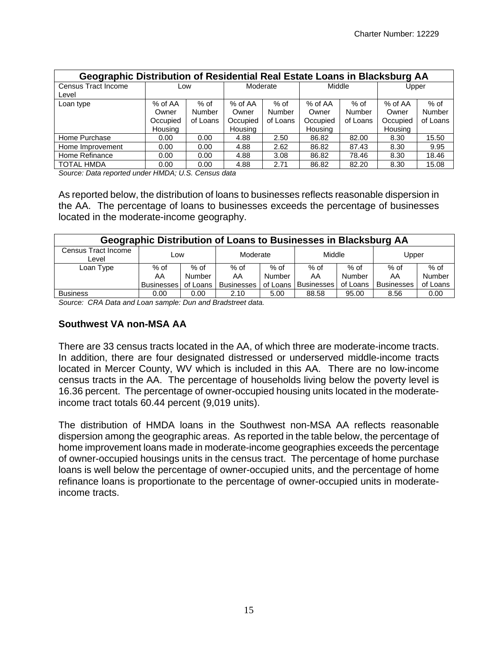| Geographic Distribution of Residential Real Estate Loans in Blacksburg AA |          |               |                |               |          |          |                |          |  |
|---------------------------------------------------------------------------|----------|---------------|----------------|---------------|----------|----------|----------------|----------|--|
| Census Tract Income                                                       | Low      |               | Moderate       |               | Middle   |          | Upper          |          |  |
| Level                                                                     |          |               |                |               |          |          |                |          |  |
| Loan type                                                                 | % of AA  | $%$ of        | $%$ of AA      | $%$ of        | % of AA  | $%$ of   | % of AA        | $%$ of   |  |
|                                                                           | Owner    | <b>Number</b> | Owner          | <b>Number</b> | Owner    | Number   | Owner          | Number   |  |
|                                                                           | Occupied | of Loans      | Occupied       | of Loans      | Occupied | of Loans | Occupied       | of Loans |  |
|                                                                           | Housing  |               | <b>Housing</b> |               | Housing  |          | <b>Housing</b> |          |  |
| Home Purchase                                                             | 0.00     | 0.00          | 4.88           | 2.50          | 86.82    | 82.00    | 8.30           | 15.50    |  |
| Home Improvement                                                          | 0.00     | 0.00          | 4.88           | 2.62          | 86.82    | 87.43    | 8.30           | 9.95     |  |
| Home Refinance                                                            | 0.00     | 0.00          | 4.88           | 3.08          | 86.82    | 78.46    | 8.30           | 18.46    |  |
| <b>TOTAL HMDA</b>                                                         | 0.00     | 0.00          | 4.88           | 2.71          | 86.82    | 82.20    | 8.30           | 15.08    |  |

*Source: Data reported under HMDA; U.S. Census data* 

As reported below, the distribution of loans to businesses reflects reasonable dispersion in the AA. The percentage of loans to businesses exceeds the percentage of businesses located in the moderate-income geography.

| Geographic Distribution of Loans to Businesses in Blacksburg AA |                   |          |                   |        |                       |          |                   |          |  |  |
|-----------------------------------------------------------------|-------------------|----------|-------------------|--------|-----------------------|----------|-------------------|----------|--|--|
| Census Tract Income<br>Level                                    | Low               |          | Moderate          |        | Middle                |          | Upper             |          |  |  |
| Loan Type                                                       | $%$ of            | $%$ of   | $%$ of            | $%$ of | $%$ of                | $%$ of   | $%$ of            | $%$ of   |  |  |
|                                                                 | AA                | Number   | AA                | Number | AA                    | Number   | AA                | Number   |  |  |
|                                                                 | <b>Businesses</b> | of Loans | <b>Businesses</b> |        | of Loans   Businesses | of Loans | <b>Businesses</b> | of Loans |  |  |
| <b>Business</b>                                                 | 0.00              | 0.00     | 2.10              | 5.00   | 88.58                 | 95.00    | 8.56              | 0.00     |  |  |

*Source: CRA Data and Loan sample: Dun and Bradstreet data.* 

#### **Southwest VA non-MSA AA**

There are 33 census tracts located in the AA, of which three are moderate-income tracts. In addition, there are four designated distressed or underserved middle-income tracts located in Mercer County, WV which is included in this AA. There are no low-income census tracts in the AA. The percentage of households living below the poverty level is 16.36 percent. The percentage of owner-occupied housing units located in the moderateincome tract totals 60.44 percent (9,019 units).

The distribution of HMDA loans in the Southwest non-MSA AA reflects reasonable dispersion among the geographic areas. As reported in the table below, the percentage of home improvement loans made in moderate-income geographies exceeds the percentage of owner-occupied housings units in the census tract. The percentage of home purchase loans is well below the percentage of owner-occupied units, and the percentage of home refinance loans is proportionate to the percentage of owner-occupied units in moderateincome tracts.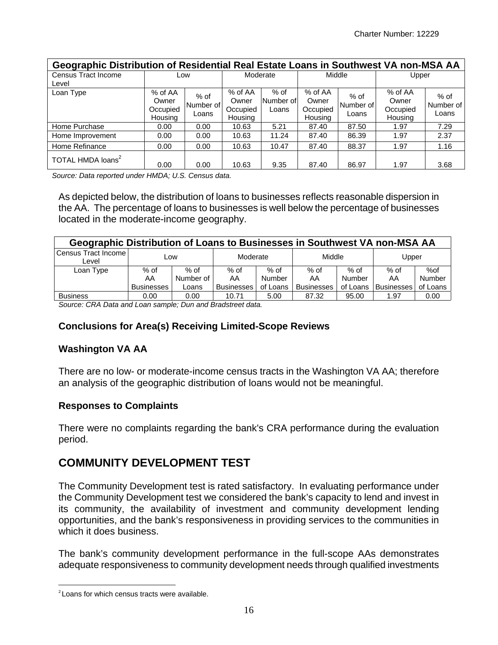| Geographic Distribution of Residential Real Estate Loans in Southwest VA non-MSA AA |                                         |                            |                                         |                            |                                         |                            |                                         |                              |  |  |
|-------------------------------------------------------------------------------------|-----------------------------------------|----------------------------|-----------------------------------------|----------------------------|-----------------------------------------|----------------------------|-----------------------------------------|------------------------------|--|--|
| <b>Census Tract Income</b><br>Level                                                 | Low                                     |                            | Moderate                                |                            | Middle                                  |                            | Upper                                   |                              |  |  |
| Loan Type                                                                           | % of AA<br>Owner<br>Occupied<br>Housing | % of<br>Number of<br>Loans | % of AA<br>Owner<br>Occupied<br>Housing | % of<br>Number of<br>Loans | % of AA<br>Owner<br>Occupied<br>Housing | % of<br>Number of<br>Loans | % of AA<br>Owner<br>Occupied<br>Housing | $%$ of<br>Number of<br>Loans |  |  |
| Home Purchase                                                                       | 0.00                                    | 0.00                       | 10.63                                   | 5.21                       | 87.40                                   | 87.50                      | 1.97                                    | 7.29                         |  |  |
| Home Improvement                                                                    | 0.00                                    | 0.00                       | 10.63                                   | 11.24                      | 87.40                                   | 86.39                      | 1.97                                    | 2.37                         |  |  |
| Home Refinance                                                                      | 0.00                                    | 0.00                       | 10.63                                   | 10.47                      | 87.40                                   | 88.37                      | 1.97                                    | 1.16                         |  |  |
| TOTAL HMDA loans <sup>2</sup>                                                       | 0.00                                    | 0.00                       | 10.63                                   | 9.35                       | 87.40                                   | 86.97                      | 1.97                                    | 3.68                         |  |  |

*Source: Data reported under HMDA; U.S. Census data.* 

As depicted below, the distribution of loans to businesses reflects reasonable dispersion in the AA. The percentage of loans to businesses is well below the percentage of businesses located in the moderate-income geography.

| Geographic Distribution of Loans to Businesses in Southwest VA non-MSA AA |                   |           |                   |          |                   |            |                   |          |  |
|---------------------------------------------------------------------------|-------------------|-----------|-------------------|----------|-------------------|------------|-------------------|----------|--|
| Census Tract Income<br>Level                                              | Low               |           | Moderate          |          | Middle            |            | Upper             |          |  |
| Loan Type                                                                 | $%$ of            | $%$ of    | $%$ of            | % of     | $%$ of            | $%$ of     | $%$ of            | %of      |  |
|                                                                           | AA                | Number of | AA                | Number   | AA                | Number     | AA                | Number   |  |
|                                                                           | <b>Businesses</b> | Loans     | <b>Businesses</b> | of Loans | <b>Businesses</b> | of Loans I | <b>Businesses</b> | of Loans |  |
| <b>Business</b>                                                           | 0.00              | 0.00      | 10.71             | 5.00     | 87.32             | 95.00      | 1.97              | 0.00     |  |

*Source: CRA Data and Loan sample; Dun and Bradstreet data.* 

### **Conclusions for Area(s) Receiving Limited-Scope Reviews**

#### **Washington VA AA**

There are no low- or moderate-income census tracts in the Washington VA AA; therefore an analysis of the geographic distribution of loans would not be meaningful.

#### **Responses to Complaints**

There were no complaints regarding the bank's CRA performance during the evaluation period.

### **COMMUNITY DEVELOPMENT TEST**

The Community Development test is rated satisfactory. In evaluating performance under the Community Development test we considered the bank's capacity to lend and invest in its community, the availability of investment and community development lending opportunities, and the bank's responsiveness in providing services to the communities in which it does business.

The bank's community development performance in the full-scope AAs demonstrates adequate responsiveness to community development needs through qualified investments

 $\overline{a}$ 

 $2$  Loans for which census tracts were available.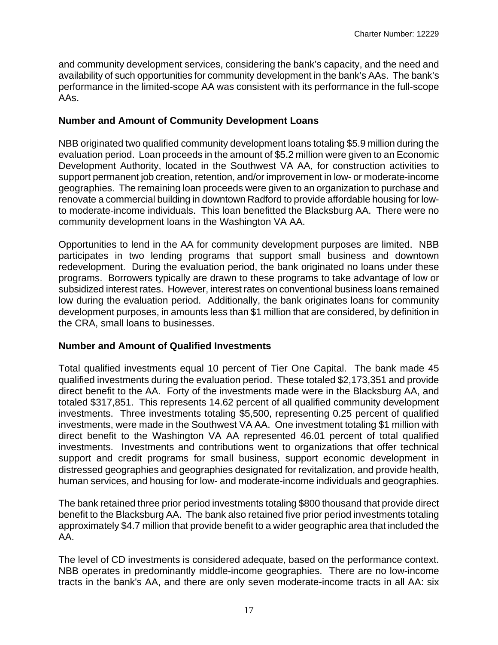and community development services, considering the bank's capacity, and the need and availability of such opportunities for community development in the bank's AAs. The bank's performance in the limited-scope AA was consistent with its performance in the full-scope AAs.

### **Number and Amount of Community Development Loans**

NBB originated two qualified community development loans totaling \$5.9 million during the evaluation period. Loan proceeds in the amount of \$5.2 million were given to an Economic Development Authority, located in the Southwest VA AA, for construction activities to support permanent job creation, retention, and/or improvement in low- or moderate-income geographies. The remaining loan proceeds were given to an organization to purchase and renovate a commercial building in downtown Radford to provide affordable housing for lowto moderate-income individuals. This loan benefitted the Blacksburg AA. There were no community development loans in the Washington VA AA.

Opportunities to lend in the AA for community development purposes are limited. NBB participates in two lending programs that support small business and downtown redevelopment. During the evaluation period, the bank originated no loans under these programs. Borrowers typically are drawn to these programs to take advantage of low or subsidized interest rates. However, interest rates on conventional business loans remained low during the evaluation period. Additionally, the bank originates loans for community development purposes, in amounts less than \$1 million that are considered, by definition in the CRA, small loans to businesses.

### **Number and Amount of Qualified Investments**

Total qualified investments equal 10 percent of Tier One Capital. The bank made 45 qualified investments during the evaluation period. These totaled \$2,173,351 and provide direct benefit to the AA. Forty of the investments made were in the Blacksburg AA, and totaled \$317,851. This represents 14.62 percent of all qualified community development investments. Three investments totaling \$5,500, representing 0.25 percent of qualified investments, were made in the Southwest VA AA. One investment totaling \$1 million with direct benefit to the Washington VA AA represented 46.01 percent of total qualified investments. Investments and contributions went to organizations that offer technical support and credit programs for small business, support economic development in distressed geographies and geographies designated for revitalization, and provide health, human services, and housing for low- and moderate-income individuals and geographies.

The bank retained three prior period investments totaling \$800 thousand that provide direct benefit to the Blacksburg AA. The bank also retained five prior period investments totaling approximately \$4.7 million that provide benefit to a wider geographic area that included the AA.

The level of CD investments is considered adequate, based on the performance context. NBB operates in predominantly middle-income geographies. There are no low-income tracts in the bank's AA, and there are only seven moderate-income tracts in all AA: six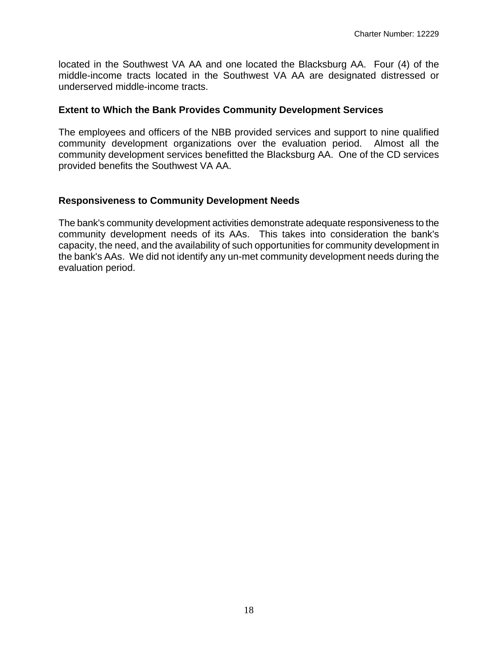located in the Southwest VA AA and one located the Blacksburg AA. Four (4) of the middle-income tracts located in the Southwest VA AA are designated distressed or underserved middle-income tracts.

### **Extent to Which the Bank Provides Community Development Services**

The employees and officers of the NBB provided services and support to nine qualified community development organizations over the evaluation period. Almost all the community development services benefitted the Blacksburg AA. One of the CD services provided benefits the Southwest VA AA.

### **Responsiveness to Community Development Needs**

The bank's community development activities demonstrate adequate responsiveness to the community development needs of its AAs. This takes into consideration the bank's capacity, the need, and the availability of such opportunities for community development in the bank's AAs. We did not identify any un-met community development needs during the evaluation period.